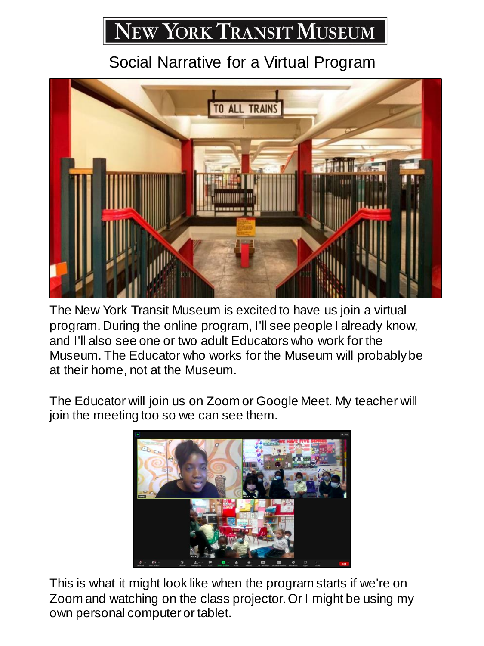## NEW YORK TRANSIT MUSEUM

## Social Narrative for a Virtual Program



The New York Transit Museum is excited to have us join a virtual program. During the online program, I'll see people I already know, and I'll also see one or two adult Educators who work for the Museum. The Educator who works for the Museum will probably be at their home, not at the Museum.

The Educator will join us on Zoom or Google Meet. My teacher will join the meeting too so we can see them.



This is what it might look like when the program starts if we're on Zoom and watching on the class projector. Or I might be using my own personal computer or tablet.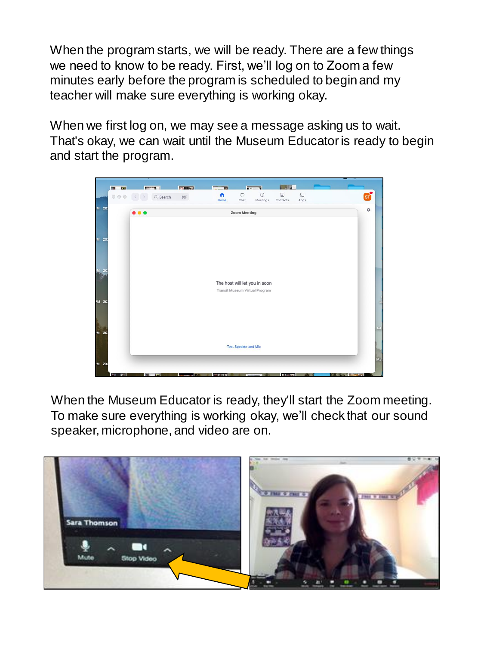When the program starts, we will be ready. There are a few things we need to know to be ready. First, we'll log on to Zoom a few minutes early before the program is scheduled to begin and my teacher will make sure everything is working okay.

When we first log on, we may see a message asking us to wait. That's okay, we can wait until the Museum Educator is ready to begin and start the program.



When the Museum Educator is ready, they'll start the Zoom meeting. To make sure everything is working okay, we'll check that our sound speaker, microphone, and video are on.

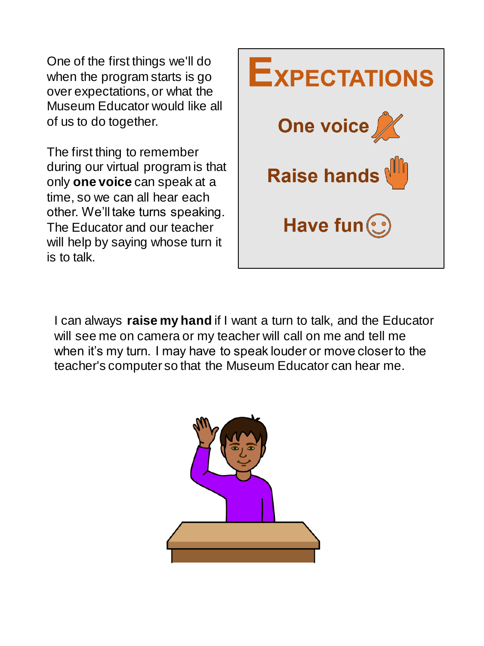One of the first things we'll do when the program starts is go over expectations, or what the Museum Educator would like all of us to do together.

The first thing to remember during our virtual program is that only **one voice** can speak at a time, so we can all hear each other. We'll take turns speaking. The Educator and our teacher will help by saying whose turn it is to talk.



I can always **raise my hand** if I want a turn to talk, and the Educator will see me on camera or my teacher will call on me and tell me when it's my turn. I may have to speak louder or move closer to the teacher's computer so that the Museum Educator can hear me.